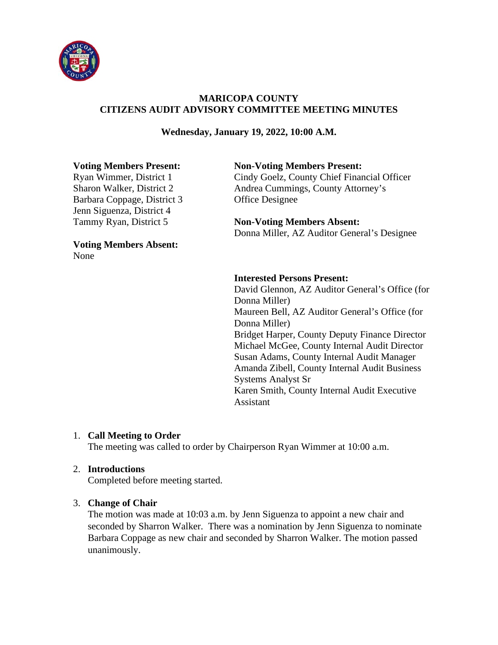

# **MARICOPA COUNTY CITIZENS AUDIT ADVISORY COMMITTEE MEETING MINUTES**

## **Wednesday, January 19, 2022, 10:00 A.M.**

Barbara Coppage, District 3 Office Designee Jenn Siguenza, District 4

**Voting Members Absent:**  None

#### **Voting Members Present: Non-Voting Members Present:**

Ryan Wimmer, District 1 Cindy Goelz, County Chief Financial Officer Sharon Walker, District 2 Andrea Cummings, County Attorney's

> **Non-Voting Members Absent:** Donna Miller, AZ Auditor General's Designee

#### **Interested Persons Present:**

David Glennon, AZ Auditor General's Office (for Donna Miller) Maureen Bell, AZ Auditor General's Office (for Donna Miller) Bridget Harper, County Deputy Finance Director Michael McGee, County Internal Audit Director Susan Adams, County Internal Audit Manager Amanda Zibell, County Internal Audit Business Systems Analyst Sr Karen Smith, County Internal Audit Executive Assistant

#### 1. **Call Meeting to Order**

The meeting was called to order by Chairperson Ryan Wimmer at 10:00 a.m.

#### 2. **Introductions**

Completed before meeting started.

#### 3. **Change of Chair**

The motion was made at 10:03 a.m. by Jenn Siguenza to appoint a new chair and seconded by Sharron Walker. There was a nomination by Jenn Siguenza to nominate Barbara Coppage as new chair and seconded by Sharron Walker. The motion passed unanimously.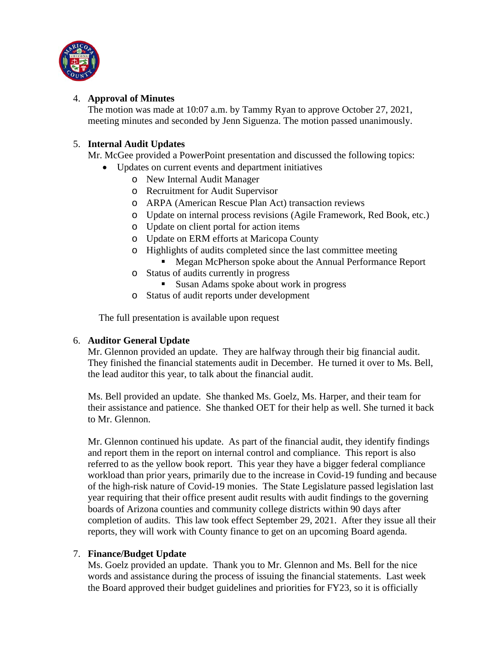

## 4. **Approval of Minutes**

The motion was made at 10:07 a.m. by Tammy Ryan to approve October 27, 2021, meeting minutes and seconded by Jenn Siguenza. The motion passed unanimously.

# 5. **Internal Audit Updates**

Mr. McGee provided a PowerPoint presentation and discussed the following topics:

- Updates on current events and department initiatives
	- o New Internal Audit Manager
	- o Recruitment for Audit Supervisor
	- o ARPA (American Rescue Plan Act) transaction reviews
	- o Update on internal process revisions (Agile Framework, Red Book, etc.)
	- o Update on client portal for action items
	- o Update on ERM efforts at Maricopa County
	- o Highlights of audits completed since the last committee meeting
		- **Megan McPherson spoke about the Annual Performance Report**
	- o Status of audits currently in progress
		- Susan Adams spoke about work in progress
	- o Status of audit reports under development

The full presentation is available upon request

## 6. **Auditor General Update**

Mr. Glennon provided an update. They are halfway through their big financial audit. They finished the financial statements audit in December. He turned it over to Ms. Bell, the lead auditor this year, to talk about the financial audit.

Ms. Bell provided an update. She thanked Ms. Goelz, Ms. Harper, and their team for their assistance and patience. She thanked OET for their help as well. She turned it back to Mr. Glennon.

Mr. Glennon continued his update. As part of the financial audit, they identify findings and report them in the report on internal control and compliance. This report is also referred to as the yellow book report. This year they have a bigger federal compliance workload than prior years, primarily due to the increase in Covid-19 funding and because of the high-risk nature of Covid-19 monies. The State Legislature passed legislation last year requiring that their office present audit results with audit findings to the governing boards of Arizona counties and community college districts within 90 days after completion of audits. This law took effect September 29, 2021. After they issue all their reports, they will work with County finance to get on an upcoming Board agenda.

## 7. **Finance/Budget Update**

Ms. Goelz provided an update. Thank you to Mr. Glennon and Ms. Bell for the nice words and assistance during the process of issuing the financial statements. Last week the Board approved their budget guidelines and priorities for FY23, so it is officially